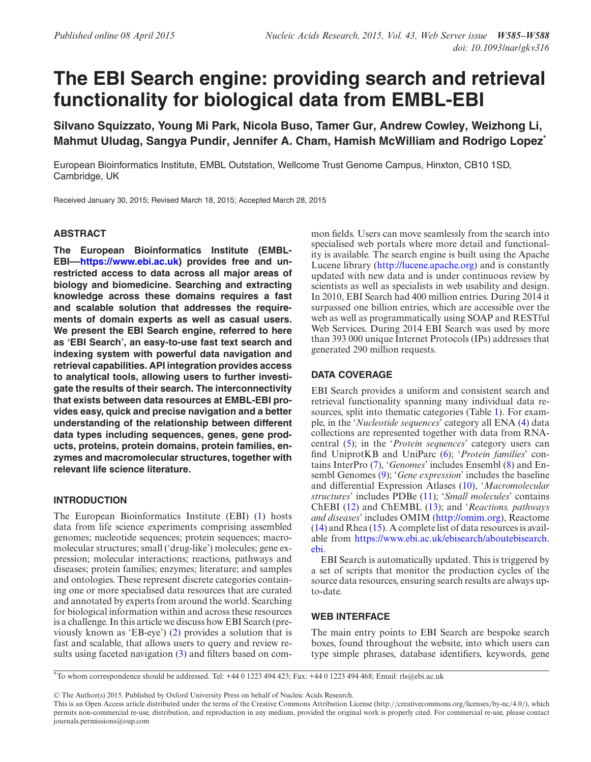# **The EBI Search engine: providing search and retrieval functionality for biological data from EMBL-EBI**

**Silvano Squizzato, Young Mi Park, Nicola Buso, Tamer Gur, Andrew Cowley, Weizhong Li, Mahmut Uludag, Sangya Pundir, Jennifer A. Cham, Hamish McWilliam and Rodrigo Lopez\***

European Bioinformatics Institute, EMBL Outstation, Wellcome Trust Genome Campus, Hinxton, CB10 1SD, Cambridge, UK

Received January 30, 2015; Revised March 18, 2015; Accepted March 28, 2015

# **ABSTRACT**

**The European Bioinformatics Institute (EMBL-EBI–[–https://www.ebi.ac.uk\)](https://www.ebi.ac.uk) provides free and unrestricted access to data across all major areas of biology and biomedicine. Searching and extracting knowledge across these domains requires a fast and scalable solution that addresses the requirements of domain experts as well as casual users. We present the EBI Search engine, referred to here as 'EBI Search', an easy-to-use fast text search and indexing system with powerful data navigation and retrieval capabilities. API integration provides access to analytical tools, allowing users to further investigate the results of their search. The interconnectivity that exists between data resources at EMBL-EBI provides easy, quick and precise navigation and a better understanding of the relationship between different data types including sequences, genes, gene products, proteins, protein domains, protein families, enzymes and macromolecular structures, together with relevant life science literature.**

# **INTRODUCTION**

The European Bioinformatics Institute (EBI) [\(1\)](#page-2-0) hosts data from life science experiments comprising assembled genomes; nucleotide sequences; protein sequences; macromolecular structures; small ('drug-like') molecules; gene expression; molecular interactions; reactions, pathways and diseases; protein families; enzymes; literature; and samples and ontologies. These represent discrete categories containing one or more specialised data resources that are curated and annotated by experts from around the world. Searching for biological information within and across these resources is a challenge. In this article we discuss how EBI Search (previously known as 'EB-eye') [\(2\)](#page-2-0) provides a solution that is fast and scalable, that allows users to query and review results using faceted navigation  $(3)$  and filters based on common fields. Users can move seamlessly from the search into specialised web portals where more detail and functionality is available. The search engine is built using the Apache Lucene library [\(http://lucene.apache.org\)](http://lucene.apache.org) and is constantly updated with new data and is under continuous review by scientists as well as specialists in web usability and design. In 2010, EBI Search had 400 million entries. During 2014 it surpassed one billion entries, which are accessible over the web as well as programmatically using SOAP and RESTful Web Services. During 2014 EBI Search was used by more than 393 000 unique Internet Protocols (IPs) addresses that generated 290 million requests.

# **DATA COVERAGE**

EBI Search provides a uniform and consistent search and retrieval functionality spanning many individual data resources, split into thematic categories (Table [1\)](#page-1-0). For example, in the '*Nucleotide sequences*' category all ENA [\(4\)](#page-3-0) data collections are represented together with data from RNAcentral [\(5\)](#page-3-0); in the '*Protein sequences*' category users can find UniprotKB and UniParc [\(6\)](#page-3-0); '*Protein families*' contains InterPro [\(7\)](#page-3-0), '*Genomes*' includes Ensembl [\(8\)](#page-3-0) and Ensembl Genomes [\(9\)](#page-3-0); '*Gene expression*' includes the baseline and differential Expression Atlases [\(10\)](#page-3-0), '*Macromolecular structures*' includes PDBe [\(11\)](#page-3-0); '*Small molecules*' contains ChEBI [\(12\)](#page-3-0) and ChEMBL [\(13\)](#page-3-0); and '*Reactions, pathways and diseases*' includes OMIM [\(http://omim.org\)](http://omim.org), Reactome [\(14\)](#page-3-0) and Rhea [\(15\)](#page-3-0). A complete list of data resources is available from [https://www.ebi.ac.uk/ebisearch/aboutebisearch.](https://www.ebi.ac.uk/ebisearch/aboutebisearch.ebi) ebi.

EBI Search is automatically updated. This is triggered by a set of scripts that monitor the production cycles of the source data resources, ensuring search results are always upto-date.

# **WEB INTERFACE**

The main entry points to EBI Search are bespoke search boxes, found throughout the website, into which users can type simple phrases, database identifiers, keywords, gene

-<sup>C</sup> The Author(s) 2015. Published by Oxford University Press on behalf of Nucleic Acids Research.

<sup>\*</sup>To whom correspondence should be addressed. Tel: +44 0 1223 494 423; Fax: +44 0 1223 494 468; Email: rls@ebi.ac.uk

This is an Open Access article distributed under the terms of the Creative Commons Attribution License (http://creativecommons.org/licenses/by-nc/4.0/), which permits non-commercial re-use, distribution, and reproduction in any medium, provided the original work is properly cited. For commercial re-use, please contact journals.permissions@oup.com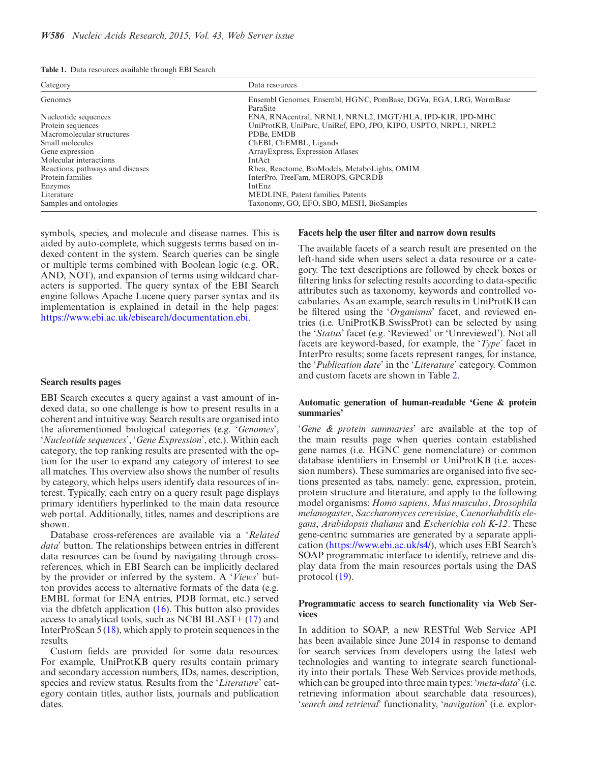<span id="page-1-0"></span>

|  |  |  |  |  | <b>Table 1.</b> Data resources available through EBI Search |
|--|--|--|--|--|-------------------------------------------------------------|
|--|--|--|--|--|-------------------------------------------------------------|

| Category                         | Data resources                                                                |
|----------------------------------|-------------------------------------------------------------------------------|
| Genomes                          | Ensembl Genomes, Ensembl, HGNC, PomBase, DGVa, EGA, LRG, WormBase<br>ParaSite |
| Nucleotide sequences             | ENA, RNAcentral, NRNL1, NRNL2, IMGT/HLA, IPD-KIR, IPD-MHC                     |
| Protein sequences                | UniProtKB, UniParc, UniRef, EPO, JPO, KIPO, USPTO, NRPL1, NRPL2               |
| Macromolecular structures        | PDBe, EMDB                                                                    |
| Small molecules                  | ChEBI, ChEMBL, Ligands                                                        |
| Gene expression                  | Array Express, Expression Atlases                                             |
| Molecular interactions           | <b>IntAct</b>                                                                 |
| Reactions, pathways and diseases | Rhea, Reactome, BioModels, MetaboLights, OMIM                                 |
| Protein families                 | InterPro, TreeFam, MEROPS, GPCRDB                                             |
| Enzymes                          | <b>IntEnz</b>                                                                 |
| Literature                       | <b>MEDLINE, Patent families, Patents</b>                                      |
| Samples and ontologies           | Taxonomy, GO, EFO, SBO, MESH, BioSamples                                      |

symbols, species, and molecule and disease names. This is aided by auto-complete, which suggests terms based on indexed content in the system. Search queries can be single or multiple terms combined with Boolean logic (e.g. OR, AND, NOT), and expansion of terms using wildcard characters is supported. The query syntax of the EBI Search engine follows Apache Lucene query parser syntax and its implementation is explained in detail in the help pages: [https://www.ebi.ac.uk/ebisearch/documentation.ebi.](https://www.ebi.ac.uk/ebisearch/documentation.ebi)

#### **Search results pages**

EBI Search executes a query against a vast amount of indexed data, so one challenge is how to present results in a coherent and intuitive way. Search results are organised into the aforementioned biological categories (e.g. '*Genomes*', '*Nucleotide sequences*', '*Gene Expression*', etc.). Within each category, the top ranking results are presented with the option for the user to expand any category of interest to see all matches. This overview also shows the number of results by category, which helps users identify data resources of interest. Typically, each entry on a query result page displays primary identifiers hyperlinked to the main data resource web portal. Additionally, titles, names and descriptions are shown.

Database cross-references are available via a '*Related data*' button. The relationships between entries in different data resources can be found by navigating through crossreferences, which in EBI Search can be implicitly declared by the provider or inferred by the system. A '*Views*' button provides access to alternative formats of the data (e.g. EMBL format for ENA entries, PDB format, etc.) served via the dbfetch application  $(16)$ . This button also provides access to analytical tools, such as NCBI BLAST+  $(17)$  and InterProScan 5 [\(18\)](#page-3-0), which apply to protein sequences in the results.

Custom fields are provided for some data resources. For example, UniProtKB query results contain primary and secondary accession numbers, IDs, names, description, species and review status. Results from the '*Literature*' category contain titles, author lists, journals and publication dates.

#### **Facets help the user filter and narrow down results**

The available facets of a search result are presented on the left-hand side when users select a data resource or a category. The text descriptions are followed by check boxes or filtering links for selecting results according to data-specific attributes such as taxonomy, keywords and controlled vocabularies. As an example, search results in UniProtKB can be filtered using the '*Organisms*' facet, and reviewed entries (i.e. UniProtKB SwissProt) can be selected by using the '*Status*' facet (e.g. 'Reviewed' or 'Unreviewed'). Not all facets are keyword-based, for example, the '*Type'* facet in InterPro results; some facets represent ranges, for instance, the '*Publication date*' in the '*Literature*' category. Common and custom facets are shown in Table [2.](#page-2-0)

#### **Automatic generation of human-readable 'Gene & protein summaries'**

'*Gene & protein summaries*' are available at the top of the main results page when queries contain established gene names (i.e. HGNC gene nomenclature) or common database identifiers in Ensembl or UniProtKB (i.e. accession numbers). These summaries are organised into five sections presented as tabs, namely: gene, expression, protein, protein structure and literature, and apply to the following model organisms: *Homo sapiens*, *Mus musculus*, *Drosophila melanogaster*, *Saccharomyces cerevisiae*, *Caenorhabditis elegans*, *Arabidopsis thaliana* and *Escherichia coli K-12*. These gene-centric summaries are generated by a separate application [\(https://www.ebi.ac.uk/s4/\)](https://www.ebi.ac.uk/s4/), which uses EBI Search's SOAP programmatic interface to identify, retrieve and display data from the main resources portals using the DAS protocol [\(19\)](#page-3-0).

## **Programmatic access to search functionality via Web Services**

In addition to SOAP, a new RESTful Web Service API has been available since June 2014 in response to demand for search services from developers using the latest web technologies and wanting to integrate search functionality into their portals. These Web Services provide methods, which can be grouped into three main types: '*meta-data*' (i.e. retrieving information about searchable data resources), '*search and retrieval*' functionality, '*navigation*' (i.e. explor-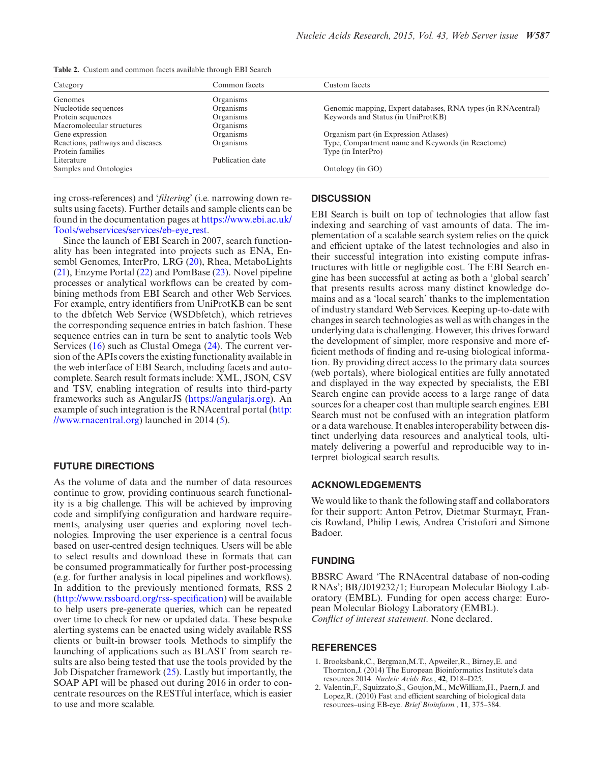| Category                         | Common facets    | Custom facets                                                |
|----------------------------------|------------------|--------------------------------------------------------------|
| Genomes                          | Organisms        |                                                              |
| Nucleotide sequences             | Organisms        | Genomic mapping, Expert databases, RNA types (in RNAcentral) |
| Protein sequences                | Organisms        | Keywords and Status (in UniProtKB)                           |
| Macromolecular structures        | Organisms        |                                                              |
| Gene expression                  | Organisms        | Organism part (in Expression Atlases)                        |
| Reactions, pathways and diseases | Organisms        | Type, Compartment name and Keywords (in Reactome)            |
| Protein families                 |                  | Type (in InterPro)                                           |
| Literature                       | Publication date |                                                              |
| Samples and Ontologies           |                  | Ontology (in GO)                                             |

<span id="page-2-0"></span>**Table 2.** Custom and common facets available through EBI Search

ing cross-references) and '*filtering*' (i.e. narrowing down results using facets). Further details and sample clients can be [found in the documentation pages at](https://www.ebi.ac.uk/Tools/webservices/services/eb-eye_rest) https://www.ebi.ac.uk/ Tools/webservices/services/eb-eye rest.

Since the launch of EBI Search in 2007, search functionality has been integrated into projects such as ENA, Ensembl Genomes, InterPro, LRG [\(20\)](#page-3-0), Rhea, MetaboLights [\(21\)](#page-3-0), Enzyme Portal [\(22\)](#page-3-0) and PomBase [\(23\)](#page-3-0). Novel pipeline processes or analytical workflows can be created by combining methods from EBI Search and other Web Services. For example, entry identifiers from UniProtKB can be sent to the dbfetch Web Service (WSDbfetch), which retrieves the corresponding sequence entries in batch fashion. These sequence entries can in turn be sent to analytic tools Web Services [\(16\)](#page-3-0) such as Clustal Omega [\(24\)](#page-3-0). The current version of the APIs covers the existing functionality available in the web interface of EBI Search, including facets and autocomplete. Search result formats include: XML, JSON, CSV and TSV, enabling integration of results into third-party frameworks such as AngularJS [\(https://angularjs.org\)](https://angularjs.org). An [example of such integration is the RNAcentral portal \(http:](http://www.rnacentral.org) //www.rnacentral.org) launched in 2014 [\(5\)](#page-3-0).

# **FUTURE DIRECTIONS**

As the volume of data and the number of data resources continue to grow, providing continuous search functionality is a big challenge. This will be achieved by improving code and simplifying configuration and hardware requirements, analysing user queries and exploring novel technologies. Improving the user experience is a central focus based on user-centred design techniques. Users will be able to select results and download these in formats that can be consumed programmatically for further post-processing (e.g. for further analysis in local pipelines and workflows). In addition to the previously mentioned formats, RSS 2 [\(http://www.rssboard.org/rss-specification\)](http://www.rssboard.org/rss-specification) will be available to help users pre-generate queries, which can be repeated over time to check for new or updated data. These bespoke alerting systems can be enacted using widely available RSS clients or built-in browser tools. Methods to simplify the launching of applications such as BLAST from search results are also being tested that use the tools provided by the Job Dispatcher framework [\(25\)](#page-3-0). Lastly but importantly, the SOAP API will be phased out during 2016 in order to concentrate resources on the RESTful interface, which is easier to use and more scalable.

## **DISCUSSION**

EBI Search is built on top of technologies that allow fast indexing and searching of vast amounts of data. The implementation of a scalable search system relies on the quick and efficient uptake of the latest technologies and also in their successful integration into existing compute infrastructures with little or negligible cost. The EBI Search engine has been successful at acting as both a 'global search' that presents results across many distinct knowledge domains and as a 'local search' thanks to the implementation of industry standard Web Services. Keeping up-to-date with changes in search technologies as well as with changes in the underlying data is challenging. However, this drives forward the development of simpler, more responsive and more efficient methods of finding and re-using biological information. By providing direct access to the primary data sources (web portals), where biological entities are fully annotated and displayed in the way expected by specialists, the EBI Search engine can provide access to a large range of data sources for a cheaper cost than multiple search engines. EBI Search must not be confused with an integration platform or a data warehouse. It enables interoperability between distinct underlying data resources and analytical tools, ultimately delivering a powerful and reproducible way to interpret biological search results.

### **ACKNOWLEDGEMENTS**

We would like to thank the following staff and collaborators for their support: Anton Petrov, Dietmar Sturmayr, Francis Rowland, Philip Lewis, Andrea Cristofori and Simone Badoer.

# **FUNDING**

BBSRC Award 'The RNAcentral database of non-coding RNAs'; BB/J019232/1; European Molecular Biology Laboratory (EMBL). Funding for open access charge: European Molecular Biology Laboratory (EMBL). *Conflict of interest statement.* None declared.

## **REFERENCES**

- 1. Brooksbank,C., Bergman,M.T., Apweiler,R., Birney,E. and Thornton,J. (2014) The European Bioinformatics Institute's data resources 2014. *Nucleic Acids Res.*, **42**, D18–D25.
- 2. Valentin,F., Squizzato,S., Goujon,M., McWilliam,H., Paern,J. and Lopez,R. (2010) Fast and efficient searching of biological data resources–using EB-eye. *Brief Bioinform.*, **11**, 375–384.